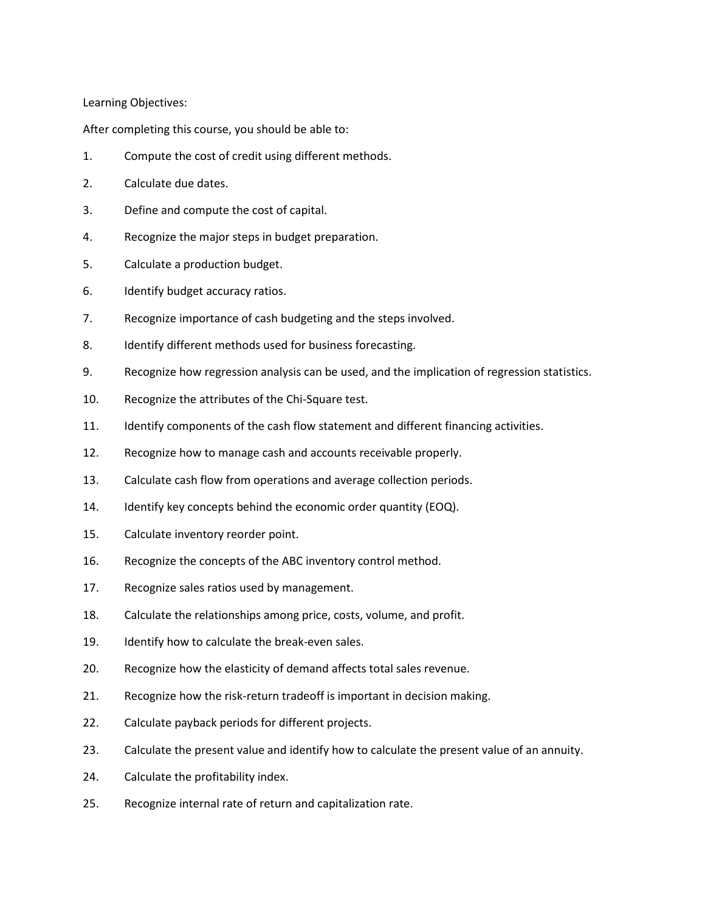Learning Objectives:

After completing this course, you should be able to:

- 1. Compute the cost of credit using different methods.
- 2. Calculate due dates.
- 3. Define and compute the cost of capital.
- 4. Recognize the major steps in budget preparation.
- 5. Calculate a production budget.
- 6. Identify budget accuracy ratios.
- 7. Recognize importance of cash budgeting and the steps involved.
- 8. Identify different methods used for business forecasting.
- 9. Recognize how regression analysis can be used, and the implication of regression statistics.
- 10. Recognize the attributes of the Chi-Square test.
- 11. Identify components of the cash flow statement and different financing activities.
- 12. Recognize how to manage cash and accounts receivable properly.
- 13. Calculate cash flow from operations and average collection periods.
- 14. Identify key concepts behind the economic order quantity (EOQ).
- 15. Calculate inventory reorder point.
- 16. Recognize the concepts of the ABC inventory control method.
- 17. Recognize sales ratios used by management.
- 18. Calculate the relationships among price, costs, volume, and profit.
- 19. Identify how to calculate the break-even sales.
- 20. Recognize how the elasticity of demand affects total sales revenue.
- 21. Recognize how the risk-return tradeoff is important in decision making.
- 22. Calculate payback periods for different projects.
- 23. Calculate the present value and identify how to calculate the present value of an annuity.
- 24. Calculate the profitability index.
- 25. Recognize internal rate of return and capitalization rate.